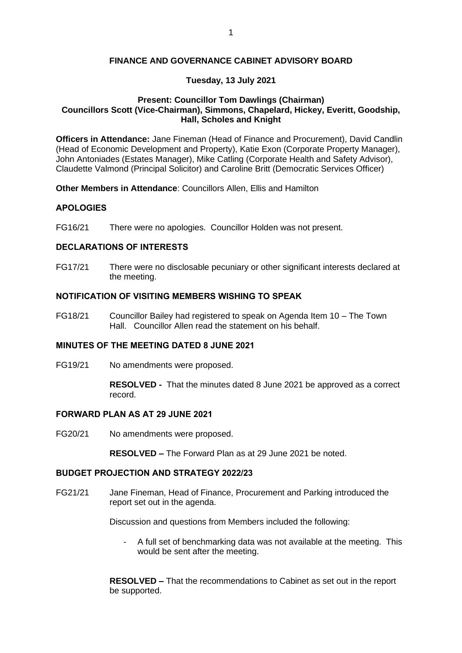### **FINANCE AND GOVERNANCE CABINET ADVISORY BOARD**

# **Tuesday, 13 July 2021**

#### **Present: Councillor Tom Dawlings (Chairman) Councillors Scott (Vice-Chairman), Simmons, Chapelard, Hickey, Everitt, Goodship, Hall, Scholes and Knight**

**Officers in Attendance:** Jane Fineman (Head of Finance and Procurement), David Candlin (Head of Economic Development and Property), Katie Exon (Corporate Property Manager), John Antoniades (Estates Manager), Mike Catling (Corporate Health and Safety Advisor), Claudette Valmond (Principal Solicitor) and Caroline Britt (Democratic Services Officer)

**Other Members in Attendance**: Councillors Allen, Ellis and Hamilton

# **APOLOGIES**

FG16/21 There were no apologies. Councillor Holden was not present.

#### **DECLARATIONS OF INTERESTS**

FG17/21 There were no disclosable pecuniary or other significant interests declared at the meeting.

#### **NOTIFICATION OF VISITING MEMBERS WISHING TO SPEAK**

FG18/21 Councillor Bailey had registered to speak on Agenda Item 10 – The Town Hall. Councillor Allen read the statement on his behalf.

# **MINUTES OF THE MEETING DATED 8 JUNE 2021**

FG19/21 No amendments were proposed.

**RESOLVED -** That the minutes dated 8 June 2021 be approved as a correct record.

#### **FORWARD PLAN AS AT 29 JUNE 2021**

FG20/21 No amendments were proposed.

**RESOLVED –** The Forward Plan as at 29 June 2021 be noted.

## **BUDGET PROJECTION AND STRATEGY 2022/23**

FG21/21 Jane Fineman, Head of Finance, Procurement and Parking introduced the report set out in the agenda.

Discussion and questions from Members included the following:

- A full set of benchmarking data was not available at the meeting. This would be sent after the meeting.

**RESOLVED –** That the recommendations to Cabinet as set out in the report be supported.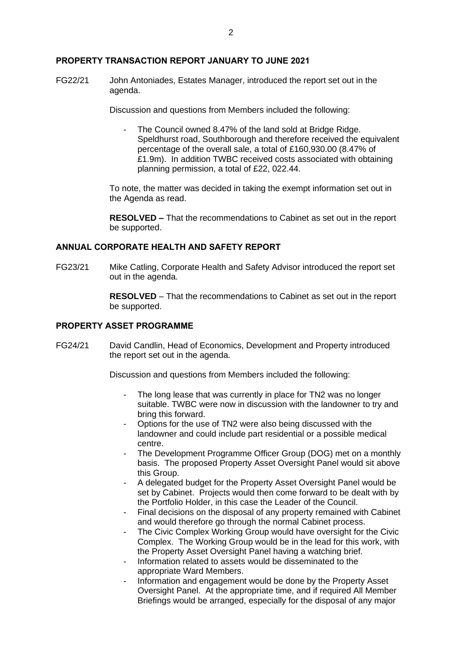#### **PROPERTY TRANSACTION REPORT JANUARY TO JUNE 2021**

FG22/21 John Antoniades, Estates Manager, introduced the report set out in the agenda.

Discussion and questions from Members included the following:

The Council owned 8.47% of the land sold at Bridge Ridge. Speldhurst road, Southborough and therefore received the equivalent percentage of the overall sale, a total of £160,930.00 (8.47% of £1.9m). In addition TWBC received costs associated with obtaining planning permission, a total of £22, 022.44.

To note, the matter was decided in taking the exempt information set out in the Agenda as read.

**RESOLVED –** That the recommendations to Cabinet as set out in the report be supported.

# **ANNUAL CORPORATE HEALTH AND SAFETY REPORT**

FG23/21 Mike Catling, Corporate Health and Safety Advisor introduced the report set out in the agenda.

> **RESOLVED** – That the recommendations to Cabinet as set out in the report be supported.

#### **PROPERTY ASSET PROGRAMME**

FG24/21 David Candlin, Head of Economics, Development and Property introduced the report set out in the agenda.

Discussion and questions from Members included the following:

- The long lease that was currently in place for TN2 was no longer suitable. TWBC were now in discussion with the landowner to try and bring this forward.
- Options for the use of TN2 were also being discussed with the landowner and could include part residential or a possible medical centre.
- The Development Programme Officer Group (DOG) met on a monthly basis. The proposed Property Asset Oversight Panel would sit above this Group.
- A delegated budget for the Property Asset Oversight Panel would be set by Cabinet. Projects would then come forward to be dealt with by the Portfolio Holder, in this case the Leader of the Council.
- Final decisions on the disposal of any property remained with Cabinet and would therefore go through the normal Cabinet process.
- The Civic Complex Working Group would have oversight for the Civic Complex. The Working Group would be in the lead for this work, with the Property Asset Oversight Panel having a watching brief.
- Information related to assets would be disseminated to the appropriate Ward Members.
- Information and engagement would be done by the Property Asset Oversight Panel. At the appropriate time, and if required All Member Briefings would be arranged, especially for the disposal of any major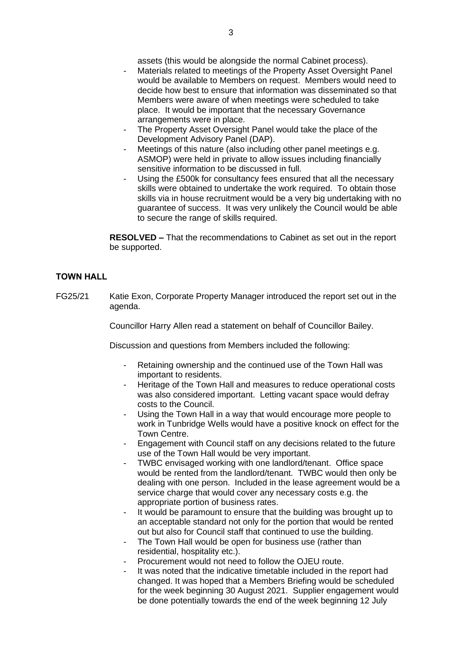assets (this would be alongside the normal Cabinet process).

- Materials related to meetings of the Property Asset Oversight Panel would be available to Members on request. Members would need to decide how best to ensure that information was disseminated so that Members were aware of when meetings were scheduled to take place. It would be important that the necessary Governance arrangements were in place.
- The Property Asset Oversight Panel would take the place of the Development Advisory Panel (DAP).
- Meetings of this nature (also including other panel meetings e.g. ASMOP) were held in private to allow issues including financially sensitive information to be discussed in full.
- Using the £500k for consultancy fees ensured that all the necessary skills were obtained to undertake the work required. To obtain those skills via in house recruitment would be a very big undertaking with no guarantee of success. It was very unlikely the Council would be able to secure the range of skills required.

**RESOLVED –** That the recommendations to Cabinet as set out in the report be supported.

# **TOWN HALL**

FG25/21 Katie Exon, Corporate Property Manager introduced the report set out in the agenda.

Councillor Harry Allen read a statement on behalf of Councillor Bailey.

Discussion and questions from Members included the following:

- Retaining ownership and the continued use of the Town Hall was important to residents.
- Heritage of the Town Hall and measures to reduce operational costs was also considered important. Letting vacant space would defray costs to the Council.
- Using the Town Hall in a way that would encourage more people to work in Tunbridge Wells would have a positive knock on effect for the Town Centre.
- Engagement with Council staff on any decisions related to the future use of the Town Hall would be very important.
- TWBC envisaged working with one landlord/tenant. Office space would be rented from the landlord/tenant. TWBC would then only be dealing with one person. Included in the lease agreement would be a service charge that would cover any necessary costs e.g. the appropriate portion of business rates.
- It would be paramount to ensure that the building was brought up to an acceptable standard not only for the portion that would be rented out but also for Council staff that continued to use the building.
- The Town Hall would be open for business use (rather than residential, hospitality etc.).
- Procurement would not need to follow the OJEU route.
- It was noted that the indicative timetable included in the report had changed. It was hoped that a Members Briefing would be scheduled for the week beginning 30 August 2021. Supplier engagement would be done potentially towards the end of the week beginning 12 July